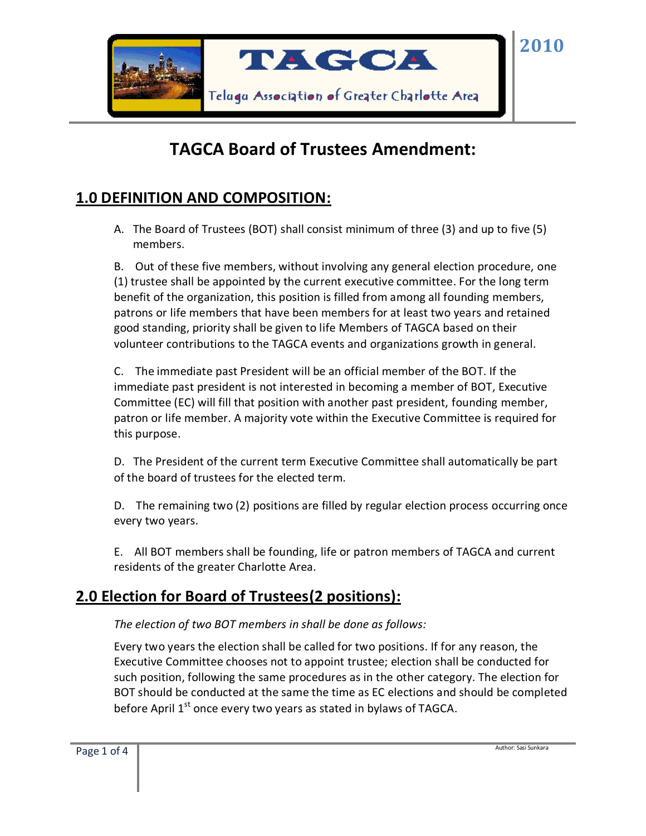

# **TAGCA Board of Trustees Amendment:**

### **1.0 DEFINITION AND COMPOSITION:**

A. The Board of Trustees (BOT) shall consist minimum of three (3) and up to five (5) members.

B. Out of these five members, without involving any general election procedure, one (1) trustee shall be appointed by the current executive committee. For the long term benefit of the organization, this position is filled from among all founding members, patrons or life members that have been members for at least two years and retained good standing, priority shall be given to life Members of TAGCA based on their volunteer contributions to the TAGCA events and organizations growth in general.

C. The immediate past President will be an official member of the BOT. If the immediate past president is not interested in becoming a member of BOT, Executive Committee (EC) will fill that position with another past president, founding member, patron or life member. A majority vote within the Executive Committee is required for this purpose.

D. The President of the current term Executive Committee shall automatically be part of the board of trustees for the elected term.

D. The remaining two (2) positions are filled by regular election process occurring once every two years.

E. All BOT members shall be founding, life or patron members of TAGCA and current residents of the greater Charlotte Area.

## **2.0 Election for Board of Trustees(2 positions):**

*The election of two BOT members in shall be done as follows:*

Every two years the election shall be called for two positions. If for any reason, the Executive Committee chooses not to appoint trustee; election shall be conducted for such position, following the same procedures as in the other category. The election for BOT should be conducted at the same the time as EC elections and should be completed before April  $1<sup>st</sup>$  once every two years as stated in bylaws of TAGCA.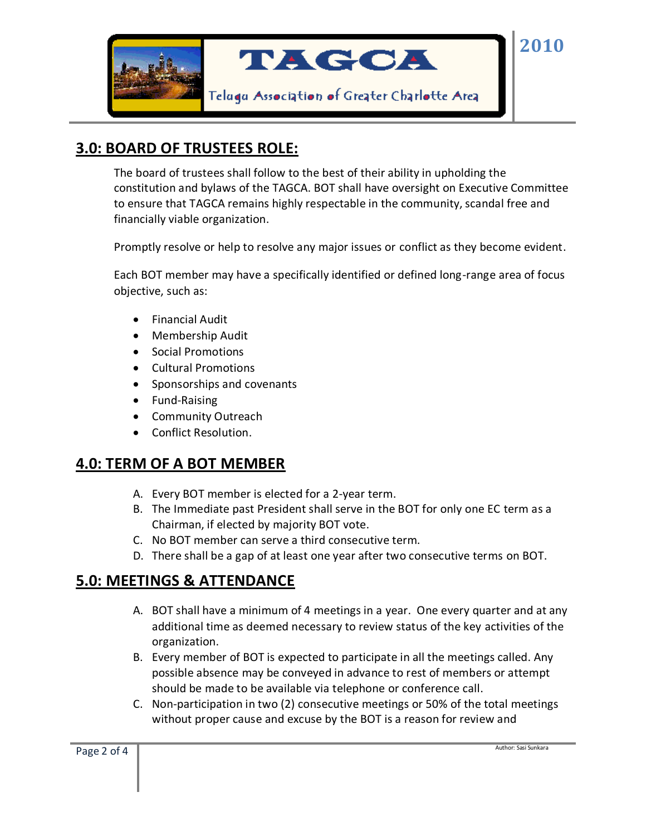

## **3.0: BOARD OF TRUSTEES ROLE:**

The board of trustees shall follow to the best of their ability in upholding the constitution and bylaws of the TAGCA. BOT shall have oversight on Executive Committee to ensure that TAGCA remains highly respectable in the community, scandal free and financially viable organization.

Promptly resolve or help to resolve any major issues or conflict as they become evident.

Each BOT member may have a specifically identified or defined long-range area of focus objective, such as:

- Financial Audit
- Membership Audit
- Social Promotions
- Cultural Promotions
- Sponsorships and covenants
- Fund-Raising
- Community Outreach
- Conflict Resolution.

### **4.0: TERM OF A BOT MEMBER**

- A. Every BOT member is elected for a 2-year term.
- B. The Immediate past President shall serve in the BOT for only one EC term as a Chairman, if elected by majority BOT vote.
- C. No BOT member can serve a third consecutive term.
- D. There shall be a gap of at least one year after two consecutive terms on BOT.

### **5.0: MEETINGS & ATTENDANCE**

- A. BOT shall have a minimum of 4 meetings in a year. One every quarter and at any additional time as deemed necessary to review status of the key activities of the organization.
- B. Every member of BOT is expected to participate in all the meetings called. Any possible absence may be conveyed in advance to rest of members or attempt should be made to be available via telephone or conference call.
- C. Non-participation in two (2) consecutive meetings or 50% of the total meetings without proper cause and excuse by the BOT is a reason for review and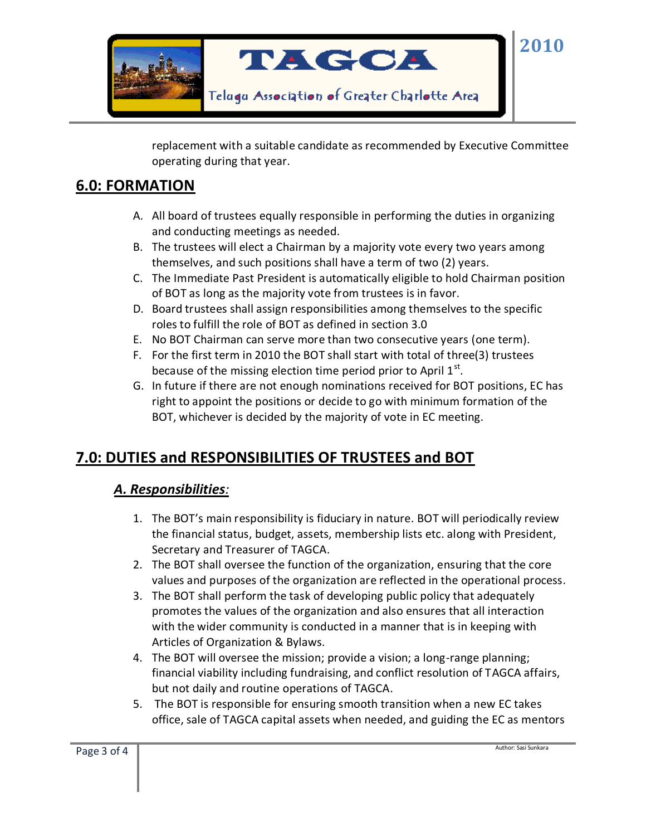

replacement with a suitable candidate as recommended by Executive Committee operating during that year.

## **6.0: FORMATION**

- A. All board of trustees equally responsible in performing the duties in organizing and conducting meetings as needed.
- B. The trustees will elect a Chairman by a majority vote every two years among themselves, and such positions shall have a term of two (2) years.
- C. The Immediate Past President is automatically eligible to hold Chairman position of BOT as long as the majority vote from trustees is in favor.
- D. Board trustees shall assign responsibilities among themselves to the specific roles to fulfill the role of BOT as defined in section 3.0
- E. No BOT Chairman can serve more than two consecutive years (one term).
- F. For the first term in 2010 the BOT shall start with total of three(3) trustees because of the missing election time period prior to April  $1^{st}$ .
- G. In future if there are not enough nominations received for BOT positions, EC has right to appoint the positions or decide to go with minimum formation of the BOT, whichever is decided by the majority of vote in EC meeting.

## **7.0: DUTIES and RESPONSIBILITIES OF TRUSTEES and BOT**

### *A. Responsibilities:*

- 1. The BOT's main responsibility is fiduciary in nature. BOT will periodically review the financial status, budget, assets, membership lists etc. along with President, Secretary and Treasurer of TAGCA.
- 2. The BOT shall oversee the function of the organization, ensuring that the core values and purposes of the organization are reflected in the operational process.
- 3. The BOT shall perform the task of developing public policy that adequately promotes the values of the organization and also ensures that all interaction with the wider community is conducted in a manner that is in keeping with Articles of Organization & Bylaws.
- 4. The BOT will oversee the mission; provide a vision; a long-range planning; financial viability including fundraising, and conflict resolution of TAGCA affairs, but not daily and routine operations of TAGCA.
- 5. The BOT is responsible for ensuring smooth transition when a new EC takes office, sale of TAGCA capital assets when needed, and guiding the EC as mentors